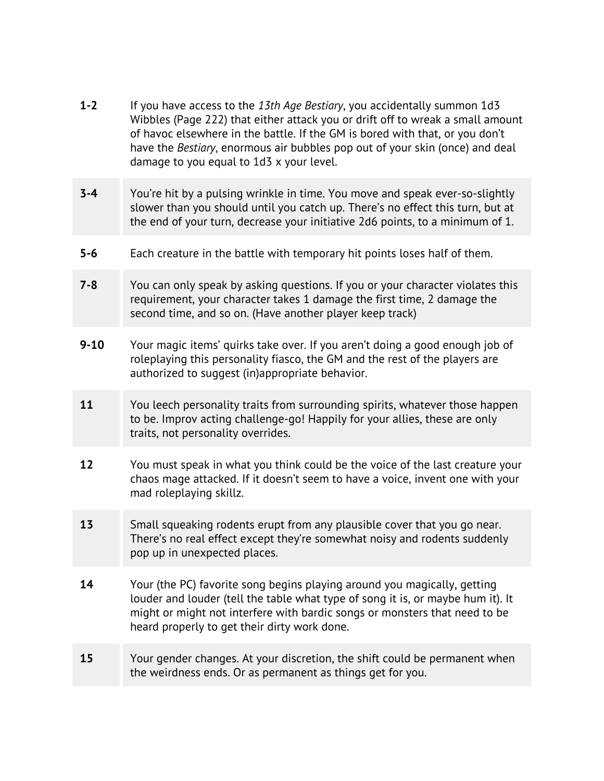- **1-2** If you have access to the *13th Age Bestiary*, you accidentally summon 1d3 Wibbles (Page 222) that either attack you or drift off to wreak a small amount of havoc elsewhere in the battle. If the GM is bored with that, or you don't have the *Bestiary*, enormous air bubbles pop out of your skin (once) and deal damage to you equal to 1d3 x your level.
- **3-4** You're hit by a pulsing wrinkle in time. You move and speak ever-so-slightly slower than you should until you catch up. There's no effect this turn, but at the end of your turn, decrease your initiative 2d6 points, to a minimum of 1.
- **5-6** Each creature in the battle with temporary hit points loses half of them.
- **7-8** You can only speak by asking questions. If you or your character violates this requirement, your character takes 1 damage the first time, 2 damage the second time, and so on. (Have another player keep track)
- **9-10** Your magic items' quirks take over. If you aren't doing a good enough job of roleplaying this personality fiasco, the GM and the rest of the players are authorized to suggest (in)appropriate behavior.
- **11** You leech personality traits from surrounding spirits, whatever those happen to be. Improv acting challenge-go! Happily for your allies, these are only traits, not personality overrides.
- **12** You must speak in what you think could be the voice of the last creature your chaos mage attacked. If it doesn't seem to have a voice, invent one with your mad roleplaying skillz.
- **13** Small squeaking rodents erupt from any plausible cover that you go near. There's no real effect except they're somewhat noisy and rodents suddenly pop up in unexpected places.
- **14** Your (the PC) favorite song begins playing around you magically, getting louder and louder (tell the table what type of song it is, or maybe hum it). It might or might not interfere with bardic songs or monsters that need to be heard properly to get their dirty work done.
- **15** Your gender changes. At your discretion, the shift could be permanent when the weirdness ends. Or as permanent as things get for you.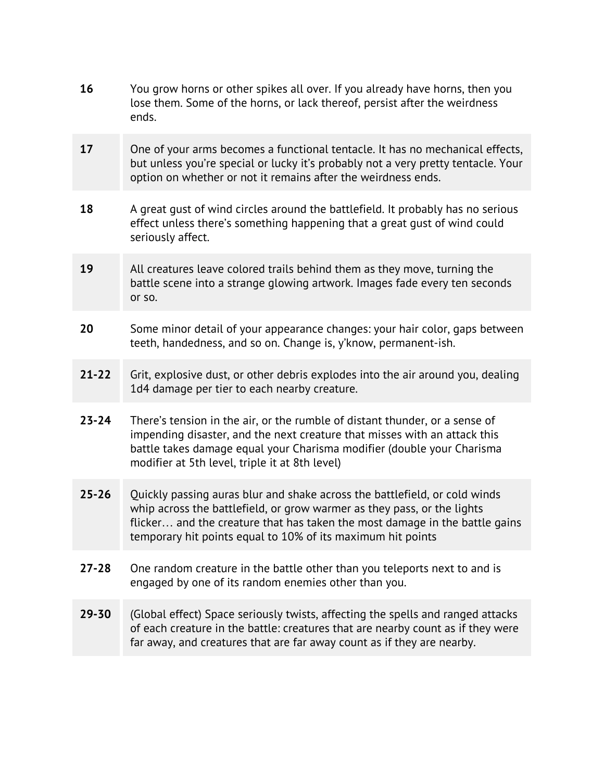| 16        | You grow horns or other spikes all over. If you already have horns, then you<br>lose them. Some of the horns, or lack thereof, persist after the weirdness<br>ends.                                                                                                                                 |
|-----------|-----------------------------------------------------------------------------------------------------------------------------------------------------------------------------------------------------------------------------------------------------------------------------------------------------|
| 17        | One of your arms becomes a functional tentacle. It has no mechanical effects,<br>but unless you're special or lucky it's probably not a very pretty tentacle. Your<br>option on whether or not it remains after the weirdness ends.                                                                 |
| 18        | A great qust of wind circles around the battlefield. It probably has no serious<br>effect unless there's something happening that a great gust of wind could<br>seriously affect.                                                                                                                   |
| 19        | All creatures leave colored trails behind them as they move, turning the<br>battle scene into a strange glowing artwork. Images fade every ten seconds<br>or so.                                                                                                                                    |
| 20        | Some minor detail of your appearance changes: your hair color, gaps between<br>teeth, handedness, and so on. Change is, y'know, permanent-ish.                                                                                                                                                      |
| $21 - 22$ | Grit, explosive dust, or other debris explodes into the air around you, dealing<br>1d4 damage per tier to each nearby creature.                                                                                                                                                                     |
| $23 - 24$ | There's tension in the air, or the rumble of distant thunder, or a sense of<br>impending disaster, and the next creature that misses with an attack this<br>battle takes damage equal your Charisma modifier (double your Charisma<br>modifier at 5th level, triple it at 8th level)                |
| $25 - 26$ | Quickly passing auras blur and shake across the battlefield, or cold winds<br>whip across the battlefield, or grow warmer as they pass, or the lights<br>flicker and the creature that has taken the most damage in the battle gains<br>temporary hit points equal to 10% of its maximum hit points |
| $27 - 28$ | One random creature in the battle other than you teleports next to and is<br>engaged by one of its random enemies other than you.                                                                                                                                                                   |
| $29 - 30$ | (Global effect) Space seriously twists, affecting the spells and ranged attacks<br>of each creature in the battle: creatures that are nearby count as if they were<br>far away, and creatures that are far away count as if they are nearby.                                                        |
|           |                                                                                                                                                                                                                                                                                                     |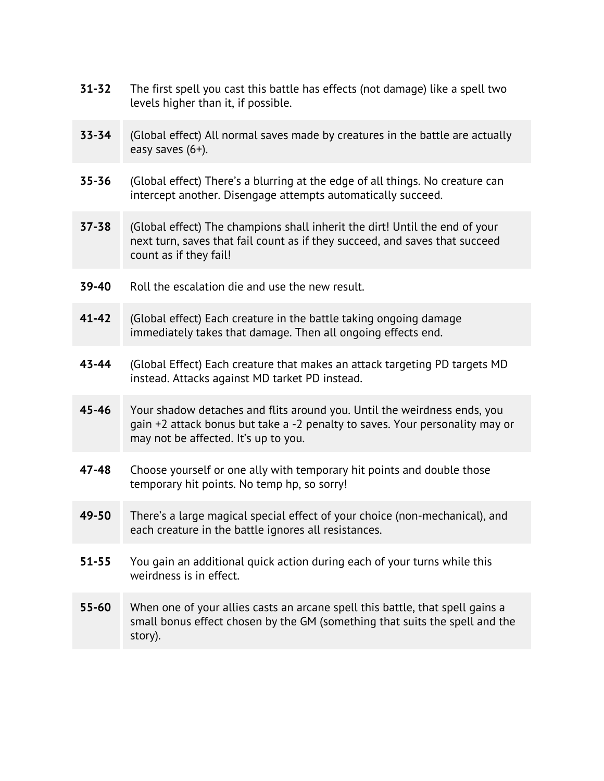| $31 - 32$ | The first spell you cast this battle has effects (not damage) like a spell two<br>levels higher than it, if possible.                                                                            |
|-----------|--------------------------------------------------------------------------------------------------------------------------------------------------------------------------------------------------|
| $33 - 34$ | (Global effect) All normal saves made by creatures in the battle are actually<br>easy saves (6+).                                                                                                |
| $35 - 36$ | (Global effect) There's a blurring at the edge of all things. No creature can<br>intercept another. Disengage attempts automatically succeed.                                                    |
| $37 - 38$ | (Global effect) The champions shall inherit the dirt! Until the end of your<br>next turn, saves that fail count as if they succeed, and saves that succeed<br>count as if they fail!             |
| 39-40     | Roll the escalation die and use the new result.                                                                                                                                                  |
| $41 - 42$ | (Global effect) Each creature in the battle taking ongoing damage<br>immediately takes that damage. Then all ongoing effects end.                                                                |
| 43-44     | (Global Effect) Each creature that makes an attack targeting PD targets MD<br>instead. Attacks against MD tarket PD instead.                                                                     |
| 45-46     | Your shadow detaches and flits around you. Until the weirdness ends, you<br>gain +2 attack bonus but take a -2 penalty to saves. Your personality may or<br>may not be affected. It's up to you. |
| $47 - 48$ | Choose yourself or one ally with temporary hit points and double those<br>temporary hit points. No temp hp, so sorry!                                                                            |
| 49-50     | There's a large magical special effect of your choice (non-mechanical), and<br>each creature in the battle ignores all resistances.                                                              |
| $51 - 55$ | You gain an additional quick action during each of your turns while this<br>weirdness is in effect.                                                                                              |
| $55 - 60$ | When one of your allies casts an arcane spell this battle, that spell gains a<br>small bonus effect chosen by the GM (something that suits the spell and the<br>story).                          |
|           |                                                                                                                                                                                                  |